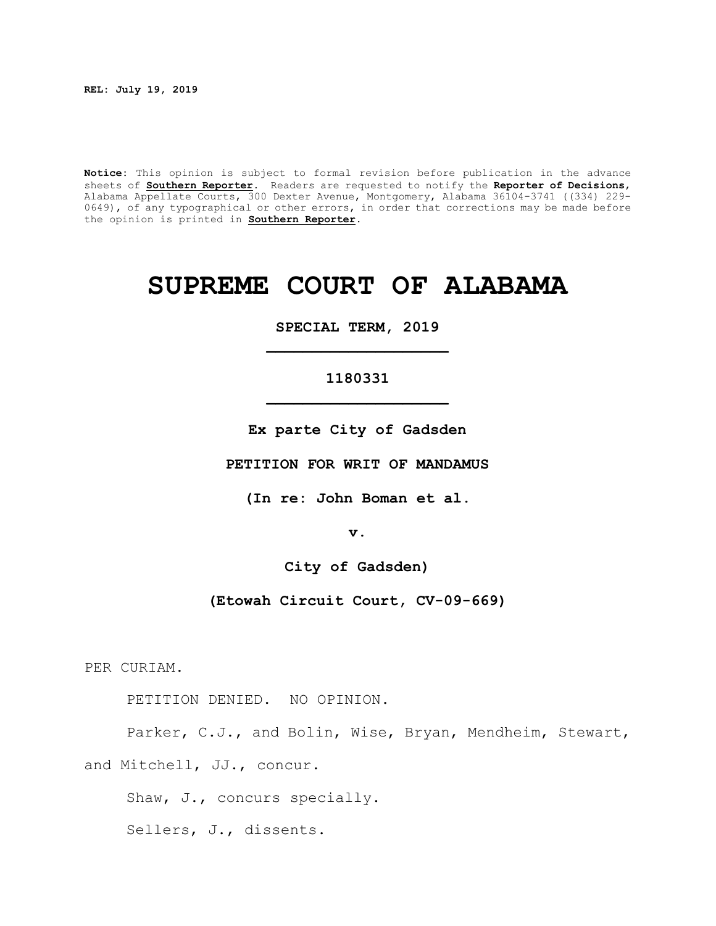**REL: July 19, 2019**

**Notice:** This opinion is subject to formal revision before publication in the advance sheets of **Southern Reporter**. Readers are requested to notify the **Reporter of Decisions**, Alabama Appellate Courts, 300 Dexter Avenue, Montgomery, Alabama 36104-3741 ((334) 229- 0649), of any typographical or other errors, in order that corrections may be made before the opinion is printed in **Southern Reporter**.

# **SUPREME COURT OF ALABAMA**

**SPECIAL TERM, 2019 \_\_\_\_\_\_\_\_\_\_\_\_\_\_\_\_\_\_\_\_**

# **1180331 \_\_\_\_\_\_\_\_\_\_\_\_\_\_\_\_\_\_\_\_**

**Ex parte City of Gadsden**

**PETITION FOR WRIT OF MANDAMUS**

**(In re: John Boman et al.**

**v.**

**City of Gadsden)**

**(Etowah Circuit Court, CV-09-669)**

PER CURIAM.

PETITION DENIED. NO OPINION.

Parker, C.J., and Bolin, Wise, Bryan, Mendheim, Stewart, and Mitchell, JJ., concur.

Shaw, J., concurs specially.

Sellers, J., dissents.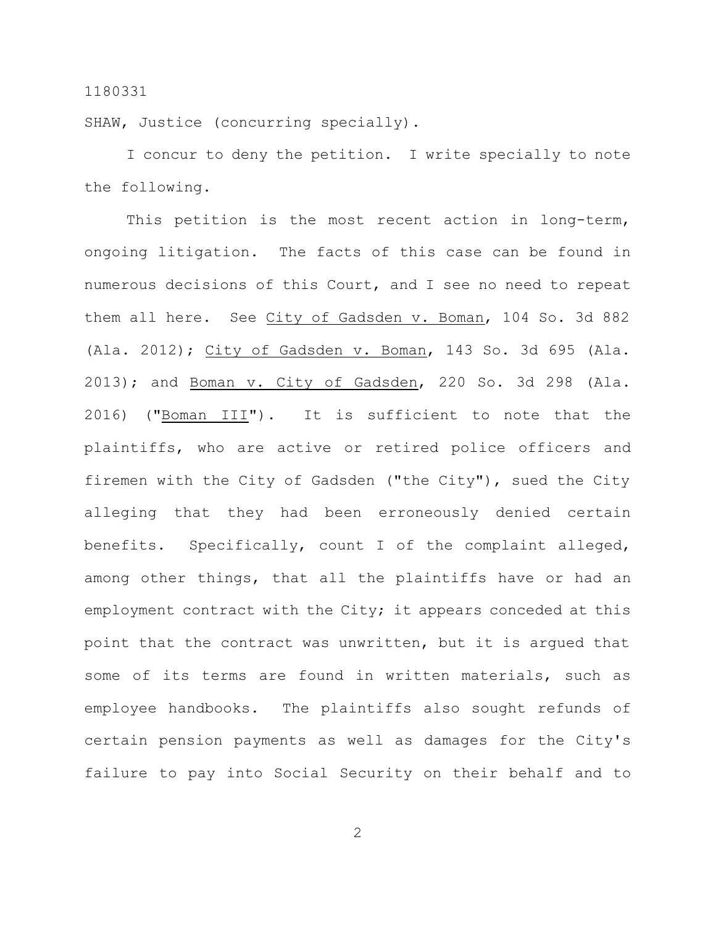SHAW, Justice (concurring specially).

I concur to deny the petition. I write specially to note the following.

This petition is the most recent action in long-term, ongoing litigation. The facts of this case can be found in numerous decisions of this Court, and I see no need to repeat them all here. See City of Gadsden v. Boman, 104 So. 3d 882 (Ala. 2012); City of Gadsden v. Boman, 143 So. 3d 695 (Ala. 2013); and Boman v. City of Gadsden, 220 So. 3d 298 (Ala. 2016) ("Boman III"). It is sufficient to note that the plaintiffs, who are active or retired police officers and firemen with the City of Gadsden ("the City"), sued the City alleging that they had been erroneously denied certain benefits. Specifically, count I of the complaint alleged, among other things, that all the plaintiffs have or had an employment contract with the City; it appears conceded at this point that the contract was unwritten, but it is argued that some of its terms are found in written materials, such as employee handbooks. The plaintiffs also sought refunds of certain pension payments as well as damages for the City's failure to pay into Social Security on their behalf and to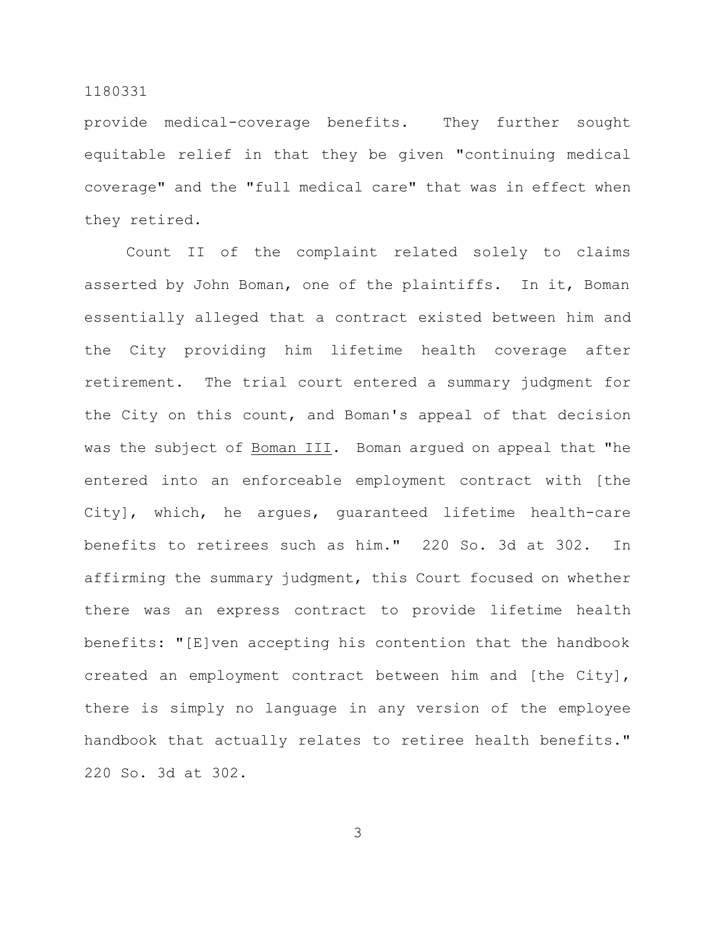provide medical-coverage benefits. They further sought equitable relief in that they be given "continuing medical coverage" and the "full medical care" that was in effect when they retired.

Count II of the complaint related solely to claims asserted by John Boman, one of the plaintiffs. In it, Boman essentially alleged that a contract existed between him and the City providing him lifetime health coverage after retirement. The trial court entered a summary judgment for the City on this count, and Boman's appeal of that decision was the subject of Boman III. Boman argued on appeal that "he entered into an enforceable employment contract with [the City], which, he argues, guaranteed lifetime health-care benefits to retirees such as him." 220 So. 3d at 302. In affirming the summary judgment, this Court focused on whether there was an express contract to provide lifetime health benefits: "[E]ven accepting his contention that the handbook created an employment contract between him and [the City], there is simply no language in any version of the employee handbook that actually relates to retiree health benefits." 220 So. 3d at 302.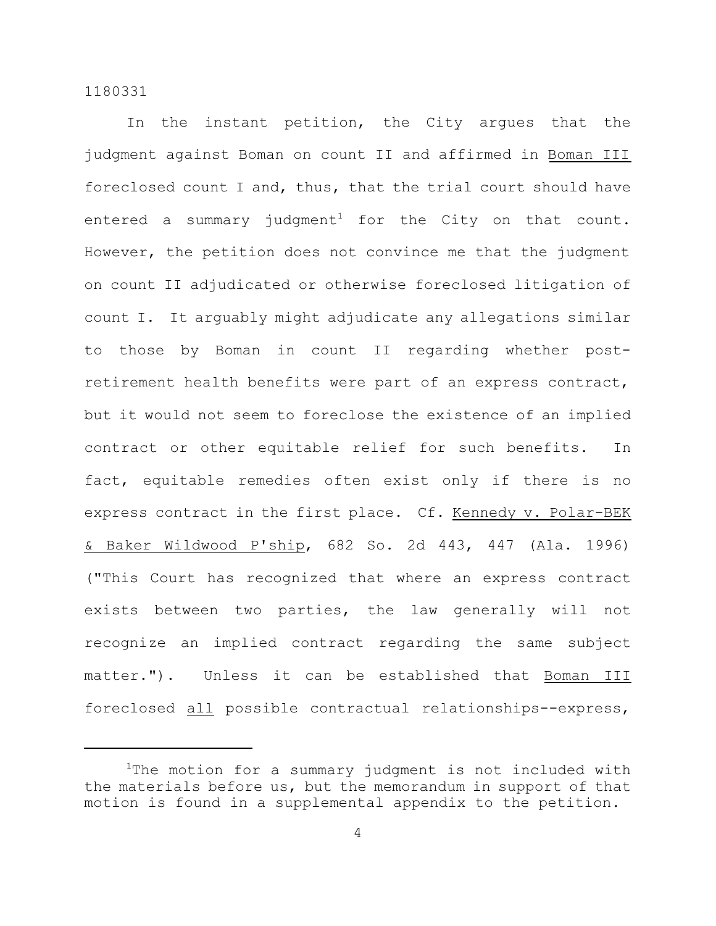In the instant petition, the City argues that the judgment against Boman on count II and affirmed in Boman III foreclosed count I and, thus, that the trial court should have entered a summary judgment<sup>1</sup> for the City on that count. However, the petition does not convince me that the judgment on count II adjudicated or otherwise foreclosed litigation of count I. It arguably might adjudicate any allegations similar to those by Boman in count II regarding whether postretirement health benefits were part of an express contract, but it would not seem to foreclose the existence of an implied contract or other equitable relief for such benefits. In fact, equitable remedies often exist only if there is no express contract in the first place. Cf. Kennedy v. Polar-BEK & Baker Wildwood P'ship, 682 So. 2d 443, 447 (Ala. 1996) ("This Court has recognized that where an express contract exists between two parties, the law generally will not recognize an implied contract regarding the same subject matter."). Unless it can be established that Boman III foreclosed all possible contractual relationships--express,

<sup>&</sup>lt;sup>1</sup>The motion for a summary judgment is not included with the materials before us, but the memorandum in support of that motion is found in a supplemental appendix to the petition.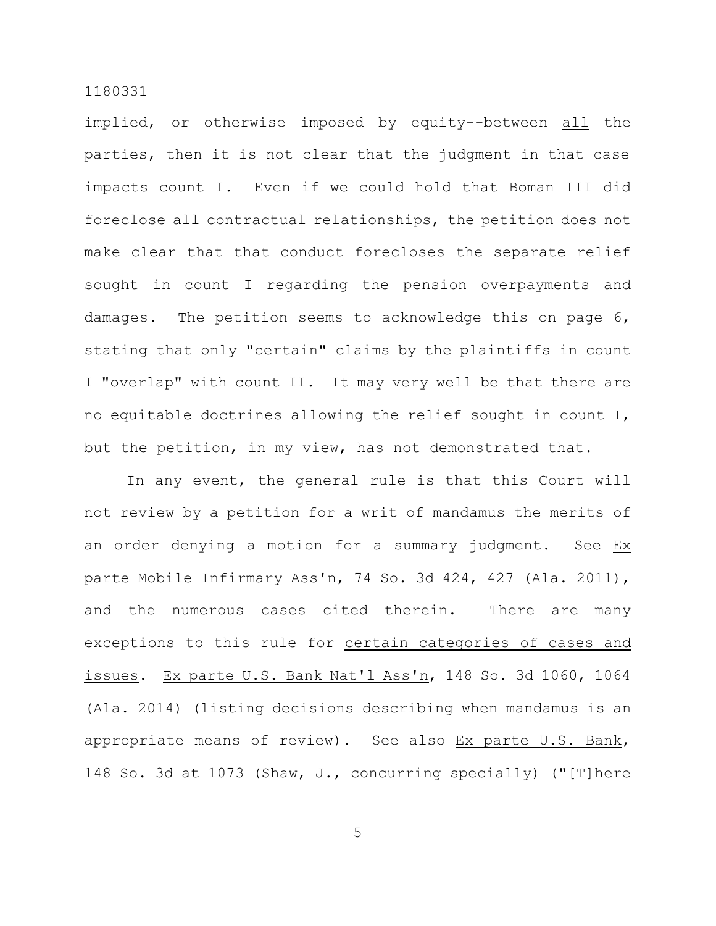implied, or otherwise imposed by equity--between all the parties, then it is not clear that the judgment in that case impacts count I. Even if we could hold that Boman III did foreclose all contractual relationships, the petition does not make clear that that conduct forecloses the separate relief sought in count I regarding the pension overpayments and damages. The petition seems to acknowledge this on page 6, stating that only "certain" claims by the plaintiffs in count I "overlap" with count II. It may very well be that there are no equitable doctrines allowing the relief sought in count I, but the petition, in my view, has not demonstrated that.

In any event, the general rule is that this Court will not review by a petition for a writ of mandamus the merits of an order denying a motion for a summary judgment. See Ex parte Mobile Infirmary Ass'n, 74 So. 3d 424, 427 (Ala. 2011), and the numerous cases cited therein. There are many exceptions to this rule for certain categories of cases and issues. Ex parte U.S. Bank Nat'l Ass'n, 148 So. 3d 1060, 1064 (Ala. 2014) (listing decisions describing when mandamus is an appropriate means of review). See also Ex parte U.S. Bank, 148 So. 3d at 1073 (Shaw, J., concurring specially) ("[T]here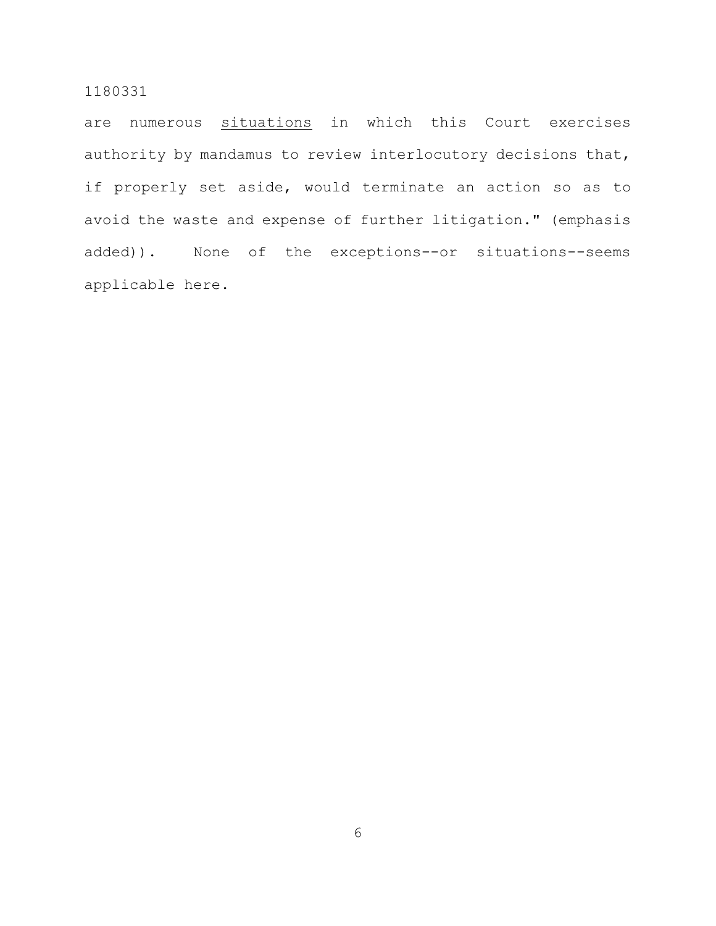are numerous situations in which this Court exercises authority by mandamus to review interlocutory decisions that, if properly set aside, would terminate an action so as to avoid the waste and expense of further litigation." (emphasis added)). None of the exceptions--or situations--seems applicable here.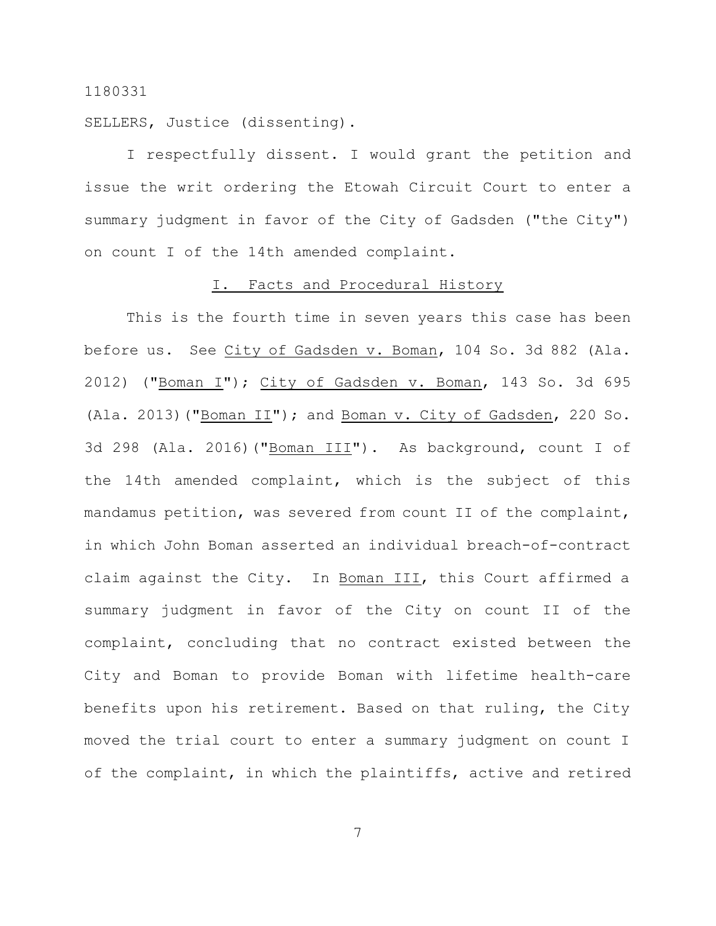SELLERS, Justice (dissenting).

I respectfully dissent. I would grant the petition and issue the writ ordering the Etowah Circuit Court to enter a summary judgment in favor of the City of Gadsden ("the City") on count I of the 14th amended complaint.

#### I. Facts and Procedural History

This is the fourth time in seven years this case has been before us. See City of Gadsden v. Boman, 104 So. 3d 882 (Ala. 2012) ("Boman I"); City of Gadsden v. Boman, 143 So. 3d 695 (Ala. 2013)("Boman II"); and Boman v. City of Gadsden, 220 So. 3d 298 (Ala. 2016)("Boman III"). As background, count I of the 14th amended complaint, which is the subject of this mandamus petition, was severed from count II of the complaint, in which John Boman asserted an individual breach-of-contract claim against the City. In Boman III, this Court affirmed a summary judgment in favor of the City on count II of the complaint, concluding that no contract existed between the City and Boman to provide Boman with lifetime health-care benefits upon his retirement. Based on that ruling, the City moved the trial court to enter a summary judgment on count I of the complaint, in which the plaintiffs, active and retired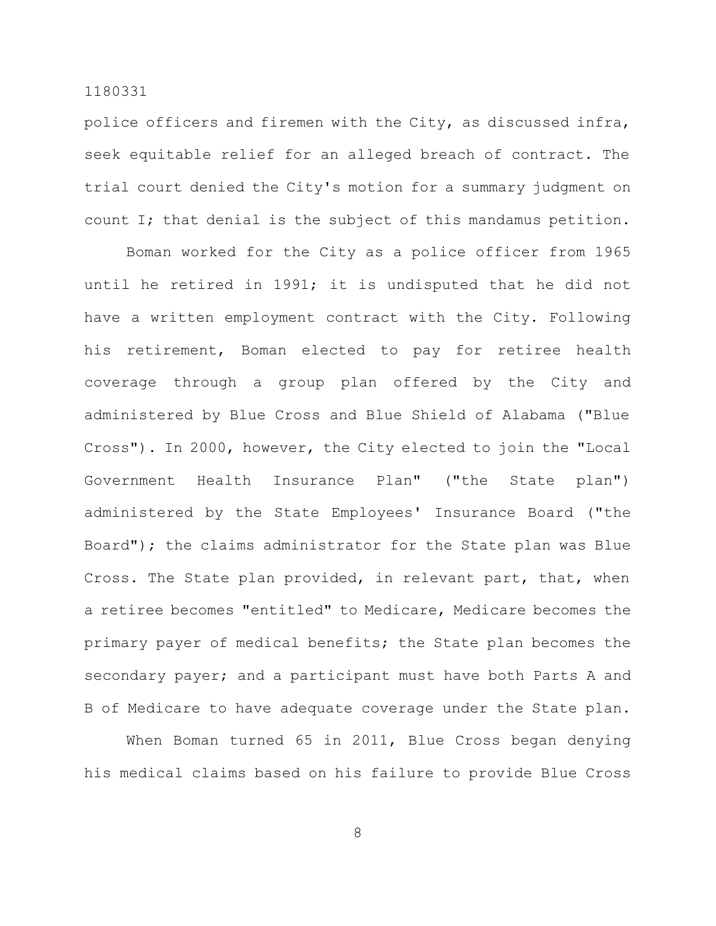police officers and firemen with the City, as discussed infra, seek equitable relief for an alleged breach of contract. The trial court denied the City's motion for a summary judgment on count I; that denial is the subject of this mandamus petition.

Boman worked for the City as a police officer from 1965 until he retired in 1991; it is undisputed that he did not have a written employment contract with the City. Following his retirement, Boman elected to pay for retiree health coverage through a group plan offered by the City and administered by Blue Cross and Blue Shield of Alabama ("Blue Cross"). In 2000, however, the City elected to join the "Local Government Health Insurance Plan" ("the State plan") administered by the State Employees' Insurance Board ("the Board"); the claims administrator for the State plan was Blue Cross. The State plan provided, in relevant part, that, when a retiree becomes "entitled" to Medicare, Medicare becomes the primary payer of medical benefits; the State plan becomes the secondary payer; and a participant must have both Parts A and B of Medicare to have adequate coverage under the State plan.

When Boman turned 65 in 2011, Blue Cross began denying his medical claims based on his failure to provide Blue Cross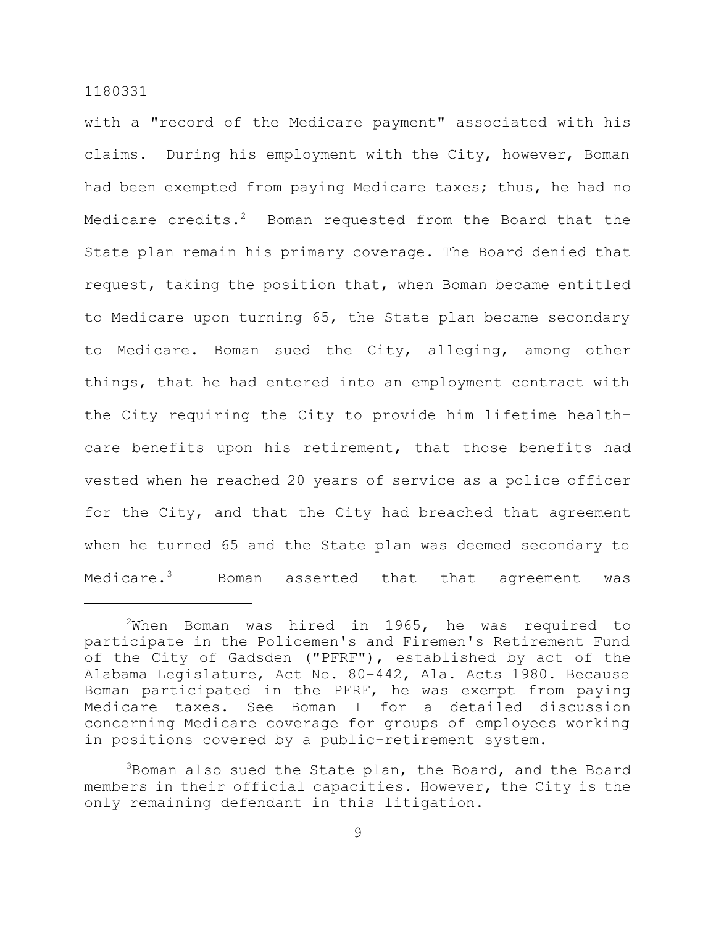with a "record of the Medicare payment" associated with his claims. During his employment with the City, however, Boman had been exempted from paying Medicare taxes; thus, he had no Medicare credits. $^{2}$  Boman requested from the Board that the State plan remain his primary coverage. The Board denied that request, taking the position that, when Boman became entitled to Medicare upon turning 65, the State plan became secondary to Medicare. Boman sued the City, alleging, among other things, that he had entered into an employment contract with the City requiring the City to provide him lifetime healthcare benefits upon his retirement, that those benefits had vested when he reached 20 years of service as a police officer for the City, and that the City had breached that agreement when he turned 65 and the State plan was deemed secondary to Medicare. $3$  Boman asserted that that agreement was

 $2$ When Boman was hired in 1965, he was required to participate in the Policemen's and Firemen's Retirement Fund of the City of Gadsden ("PFRF"), established by act of the Alabama Legislature, Act No. 80-442, Ala. Acts 1980. Because Boman participated in the PFRF, he was exempt from paying Medicare taxes. See Boman I for a detailed discussion concerning Medicare coverage for groups of employees working in positions covered by a public-retirement system.

<sup>&</sup>lt;sup>3</sup>Boman also sued the State plan, the Board, and the Board members in their official capacities. However, the City is the only remaining defendant in this litigation.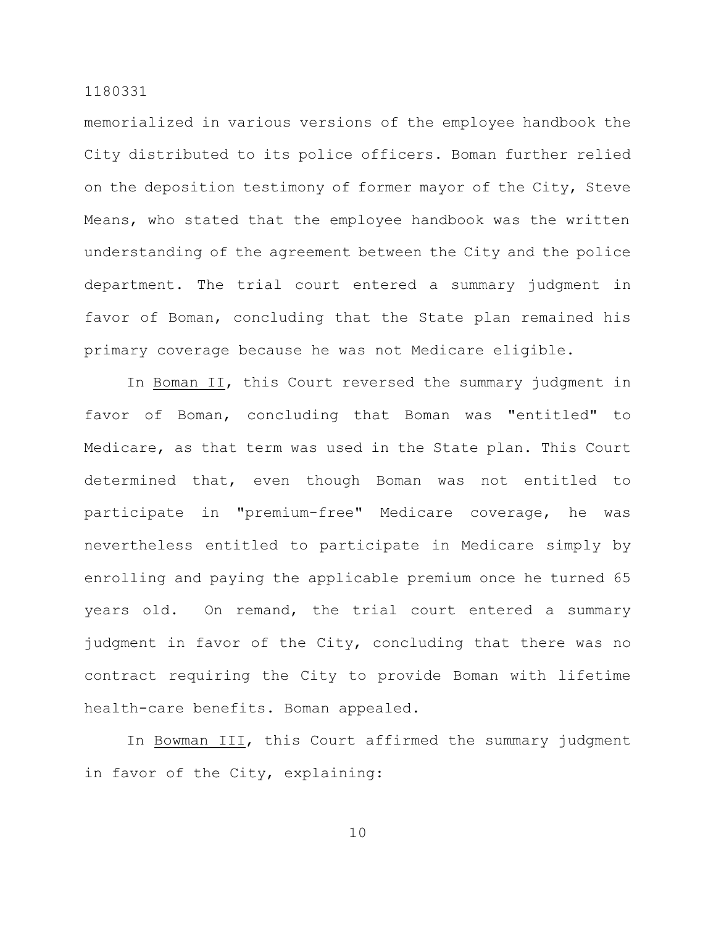memorialized in various versions of the employee handbook the City distributed to its police officers. Boman further relied on the deposition testimony of former mayor of the City, Steve Means, who stated that the employee handbook was the written understanding of the agreement between the City and the police department. The trial court entered a summary judgment in favor of Boman, concluding that the State plan remained his primary coverage because he was not Medicare eligible.

In Boman II, this Court reversed the summary judgment in favor of Boman, concluding that Boman was "entitled" to Medicare, as that term was used in the State plan. This Court determined that, even though Boman was not entitled to participate in "premium-free" Medicare coverage, he was nevertheless entitled to participate in Medicare simply by enrolling and paying the applicable premium once he turned 65 years old. On remand, the trial court entered a summary judgment in favor of the City, concluding that there was no contract requiring the City to provide Boman with lifetime health-care benefits. Boman appealed.

In Bowman III, this Court affirmed the summary judgment in favor of the City, explaining: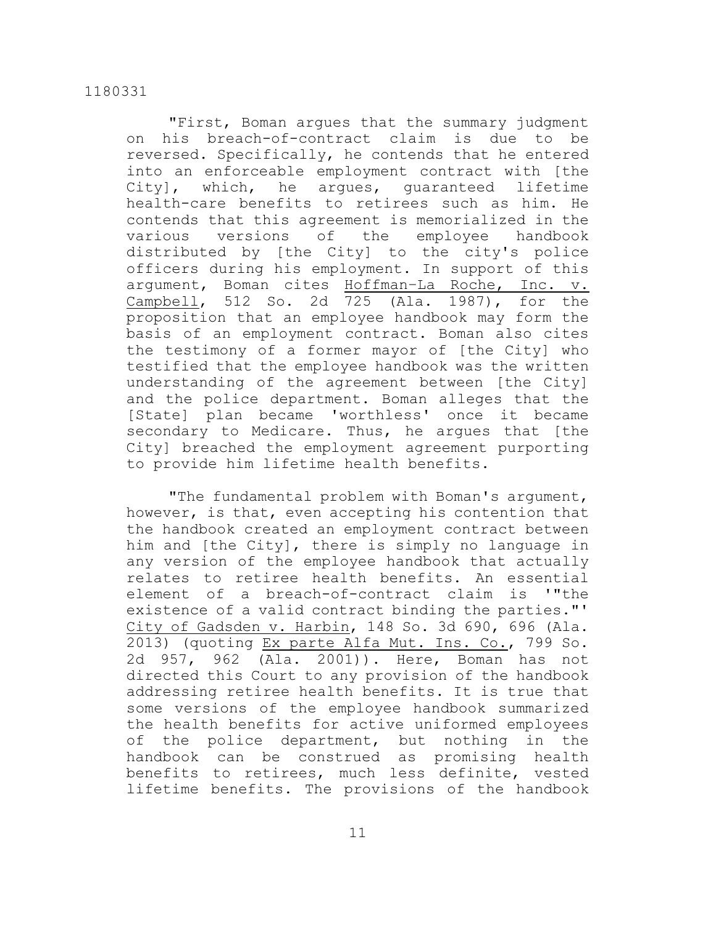"First, Boman argues that the summary judgment on his breach-of-contract claim is due to be reversed. Specifically, he contends that he entered into an enforceable employment contract with [the City], which, he argues, guaranteed lifetime health-care benefits to retirees such as him. He contends that this agreement is memorialized in the various versions of the employee handbook distributed by [the City] to the city's police officers during his employment. In support of this argument, Boman cites Hoffman–La Roche, Inc. v. Campbell, 512 So. 2d 725 (Ala. 1987), for the proposition that an employee handbook may form the basis of an employment contract. Boman also cites the testimony of a former mayor of [the City] who testified that the employee handbook was the written understanding of the agreement between [the City] and the police department. Boman alleges that the [State] plan became 'worthless' once it became secondary to Medicare. Thus, he argues that [the City] breached the employment agreement purporting to provide him lifetime health benefits.

"The fundamental problem with Boman's argument, however, is that, even accepting his contention that the handbook created an employment contract between him and [the City], there is simply no language in any version of the employee handbook that actually relates to retiree health benefits. An essential element of a breach-of-contract claim is '"the existence of a valid contract binding the parties."' City of Gadsden v. Harbin, 148 So. 3d 690, 696 (Ala. 2013) (quoting Ex parte Alfa Mut. Ins. Co., 799 So. 2d 957, 962 (Ala. 2001)). Here, Boman has not directed this Court to any provision of the handbook addressing retiree health benefits. It is true that some versions of the employee handbook summarized the health benefits for active uniformed employees of the police department, but nothing in the handbook can be construed as promising health benefits to retirees, much less definite, vested lifetime benefits. The provisions of the handbook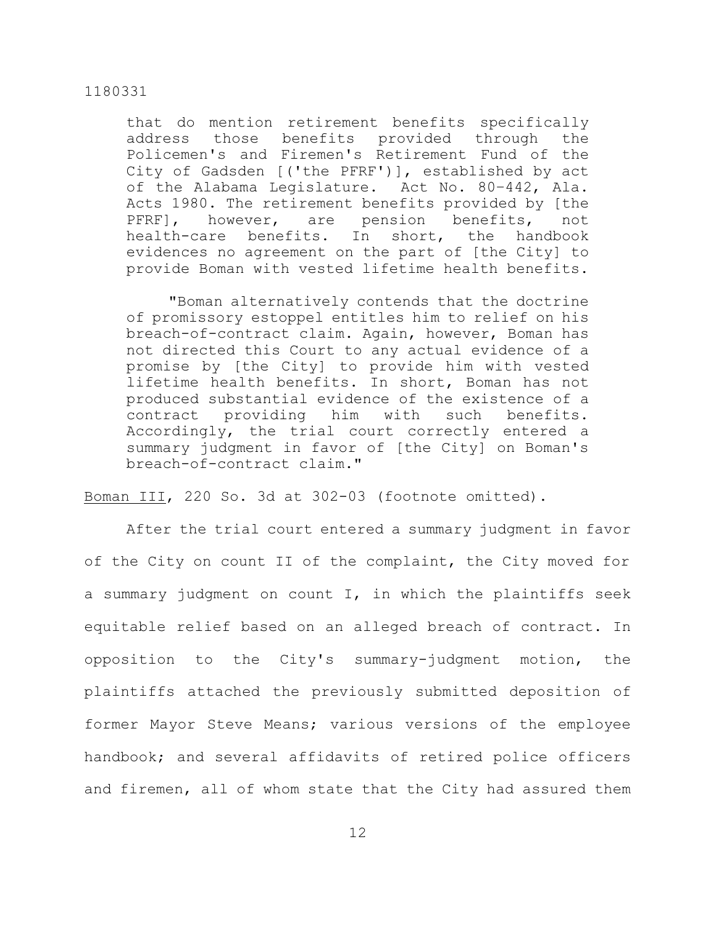that do mention retirement benefits specifically address those benefits provided through the Policemen's and Firemen's Retirement Fund of the City of Gadsden [('the PFRF')], established by act of the Alabama Legislature. Act No. 80–442, Ala. Acts 1980. The retirement benefits provided by [the PFRF], however, are pension benefits, not health-care benefits. In short, the handbook evidences no agreement on the part of [the City] to provide Boman with vested lifetime health benefits.

"Boman alternatively contends that the doctrine of promissory estoppel entitles him to relief on his breach-of-contract claim. Again, however, Boman has not directed this Court to any actual evidence of a promise by [the City] to provide him with vested lifetime health benefits. In short, Boman has not produced substantial evidence of the existence of a contract providing him with such benefits. Accordingly, the trial court correctly entered a summary judgment in favor of [the City] on Boman's breach-of-contract claim."

Boman III, 220 So. 3d at 302-03 (footnote omitted).

After the trial court entered a summary judgment in favor of the City on count II of the complaint, the City moved for a summary judgment on count I, in which the plaintiffs seek equitable relief based on an alleged breach of contract. In opposition to the City's summary-judgment motion, the plaintiffs attached the previously submitted deposition of former Mayor Steve Means; various versions of the employee handbook; and several affidavits of retired police officers and firemen, all of whom state that the City had assured them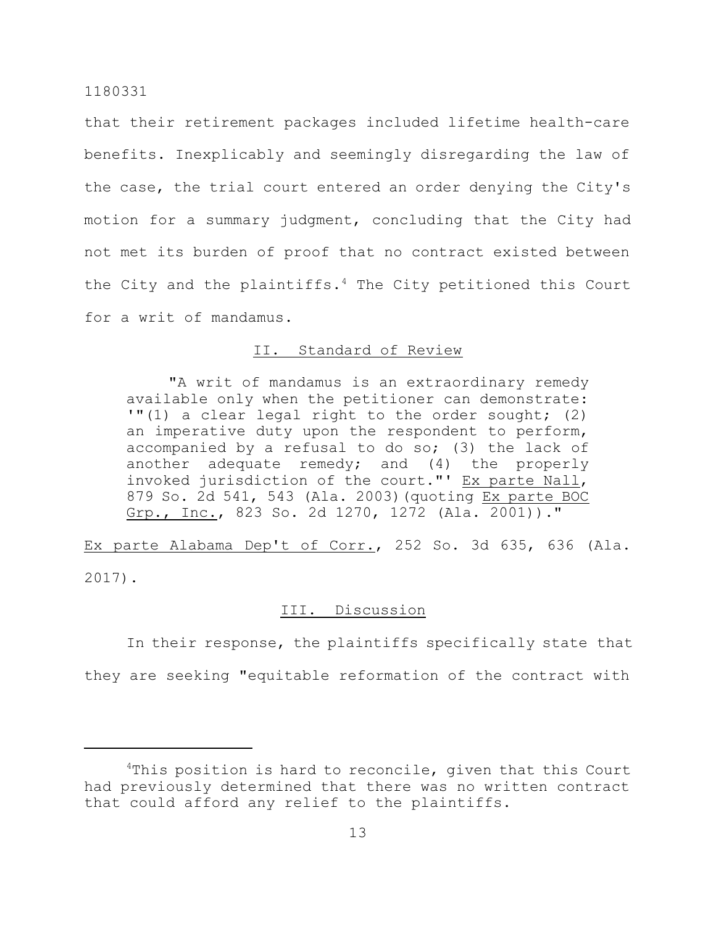that their retirement packages included lifetime health-care benefits. Inexplicably and seemingly disregarding the law of the case, the trial court entered an order denying the City's motion for a summary judgment, concluding that the City had not met its burden of proof that no contract existed between the City and the plaintiffs. <sup>4</sup> The City petitioned this Court for a writ of mandamus.

## II. Standard of Review

"A writ of mandamus is an extraordinary remedy available only when the petitioner can demonstrate: '"(1) a clear legal right to the order sought; (2) an imperative duty upon the respondent to perform, accompanied by a refusal to do so; (3) the lack of another adequate remedy; and (4) the properly invoked jurisdiction of the court."' Ex parte Nall, 879 So. 2d 541, 543 (Ala. 2003)(quoting Ex parte BOC Grp., Inc., 823 So. 2d 1270, 1272 (Ala. 2001))."

Ex parte Alabama Dep't of Corr., 252 So. 3d 635, 636 (Ala. 2017).

# III. Discussion

In their response, the plaintiffs specifically state that they are seeking "equitable reformation of the contract with

 $4$ This position is hard to reconcile, given that this Court had previously determined that there was no written contract that could afford any relief to the plaintiffs.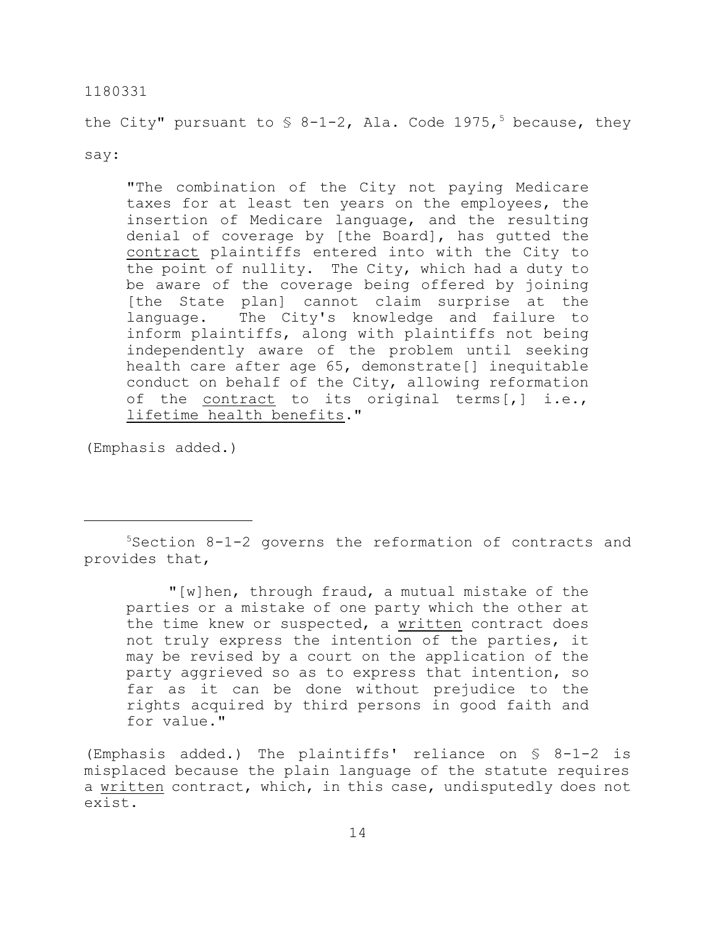the City" pursuant to  $\frac{1}{5}$  8-1-2, Ala. Code 1975,<sup>5</sup> because, they

say:

"The combination of the City not paying Medicare taxes for at least ten years on the employees, the insertion of Medicare language, and the resulting denial of coverage by [the Board], has gutted the contract plaintiffs entered into with the City to the point of nullity. The City, which had a duty to be aware of the coverage being offered by joining [the State plan] cannot claim surprise at the language. The City's knowledge and failure to inform plaintiffs, along with plaintiffs not being independently aware of the problem until seeking health care after age 65, demonstrate[] inequitable conduct on behalf of the City, allowing reformation of the contract to its original terms[,] i.e., lifetime health benefits."

(Emphasis added.)

<sup>5</sup>Section 8-1-2 governs the reformation of contracts and provides that,

"[w]hen, through fraud, a mutual mistake of the parties or a mistake of one party which the other at the time knew or suspected, a written contract does not truly express the intention of the parties, it may be revised by a court on the application of the party aggrieved so as to express that intention, so far as it can be done without prejudice to the rights acquired by third persons in good faith and for value."

(Emphasis added.) The plaintiffs' reliance on § 8-1-2 is misplaced because the plain language of the statute requires a written contract, which, in this case, undisputedly does not exist.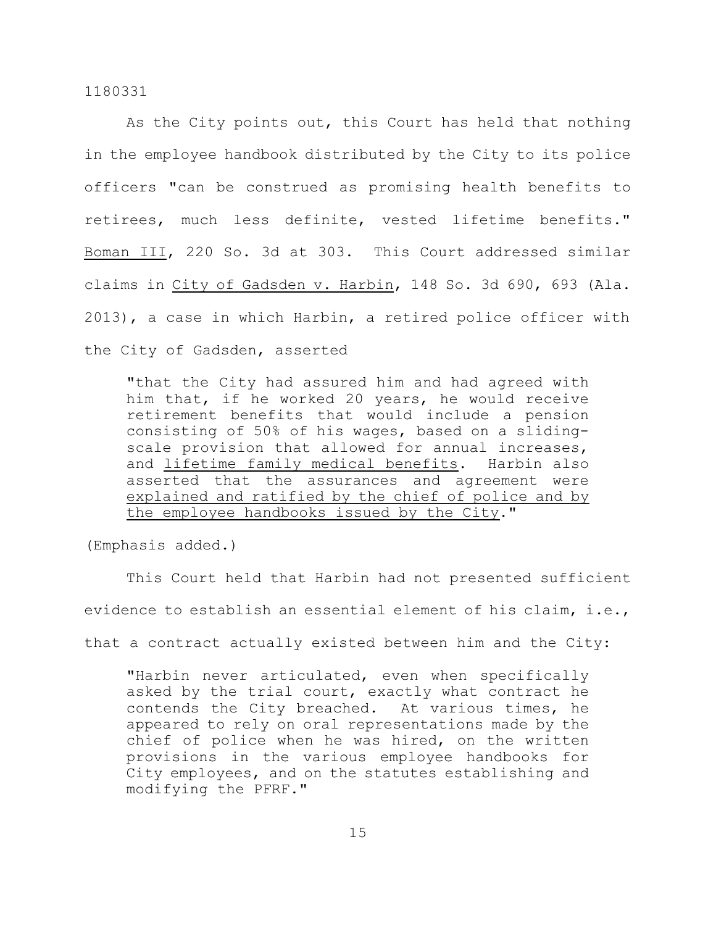As the City points out, this Court has held that nothing in the employee handbook distributed by the City to its police officers "can be construed as promising health benefits to retirees, much less definite, vested lifetime benefits." Boman III, 220 So. 3d at 303. This Court addressed similar claims in City of Gadsden v. Harbin, 148 So. 3d 690, 693 (Ala. 2013), a case in which Harbin, a retired police officer with the City of Gadsden, asserted

"that the City had assured him and had agreed with him that, if he worked 20 years, he would receive retirement benefits that would include a pension consisting of 50% of his wages, based on a slidingscale provision that allowed for annual increases, and lifetime family medical benefits. Harbin also asserted that the assurances and agreement were explained and ratified by the chief of police and by the employee handbooks issued by the City."

(Emphasis added.)

This Court held that Harbin had not presented sufficient evidence to establish an essential element of his claim, i.e., that a contract actually existed between him and the City:

"Harbin never articulated, even when specifically asked by the trial court, exactly what contract he contends the City breached. At various times, he appeared to rely on oral representations made by the chief of police when he was hired, on the written provisions in the various employee handbooks for City employees, and on the statutes establishing and modifying the PFRF."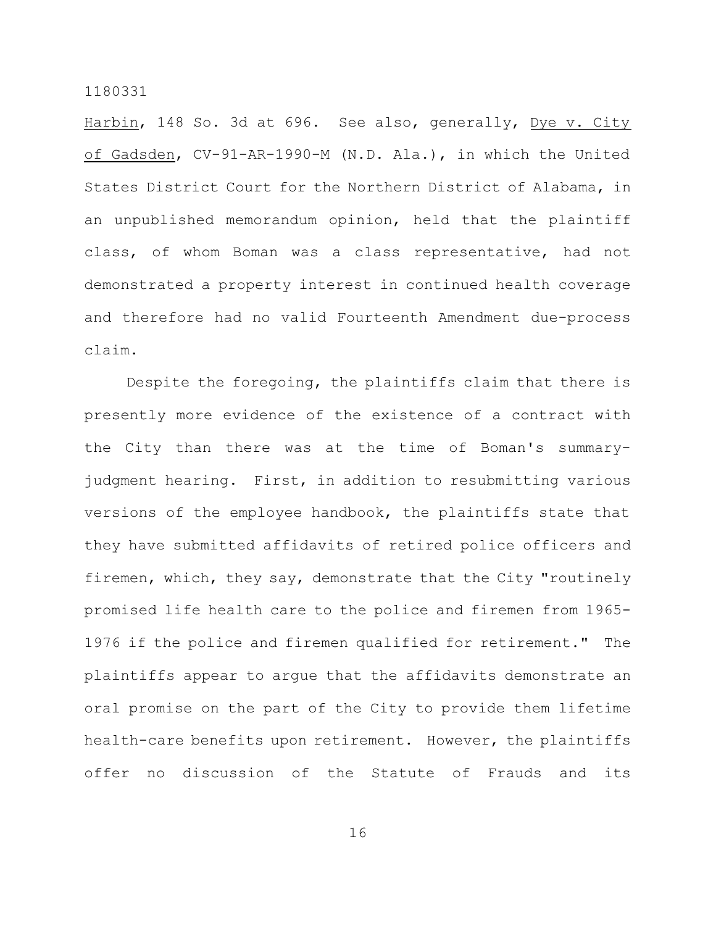Harbin, 148 So. 3d at 696. See also, generally, Dye v. City of Gadsden, CV-91-AR-1990-M (N.D. Ala.), in which the United States District Court for the Northern District of Alabama, in an unpublished memorandum opinion, held that the plaintiff class, of whom Boman was a class representative, had not demonstrated a property interest in continued health coverage and therefore had no valid Fourteenth Amendment due-process claim.

Despite the foregoing, the plaintiffs claim that there is presently more evidence of the existence of a contract with the City than there was at the time of Boman's summaryjudgment hearing. First, in addition to resubmitting various versions of the employee handbook, the plaintiffs state that they have submitted affidavits of retired police officers and firemen, which, they say, demonstrate that the City "routinely promised life health care to the police and firemen from 1965- 1976 if the police and firemen qualified for retirement." The plaintiffs appear to argue that the affidavits demonstrate an oral promise on the part of the City to provide them lifetime health-care benefits upon retirement. However, the plaintiffs offer no discussion of the Statute of Frauds and its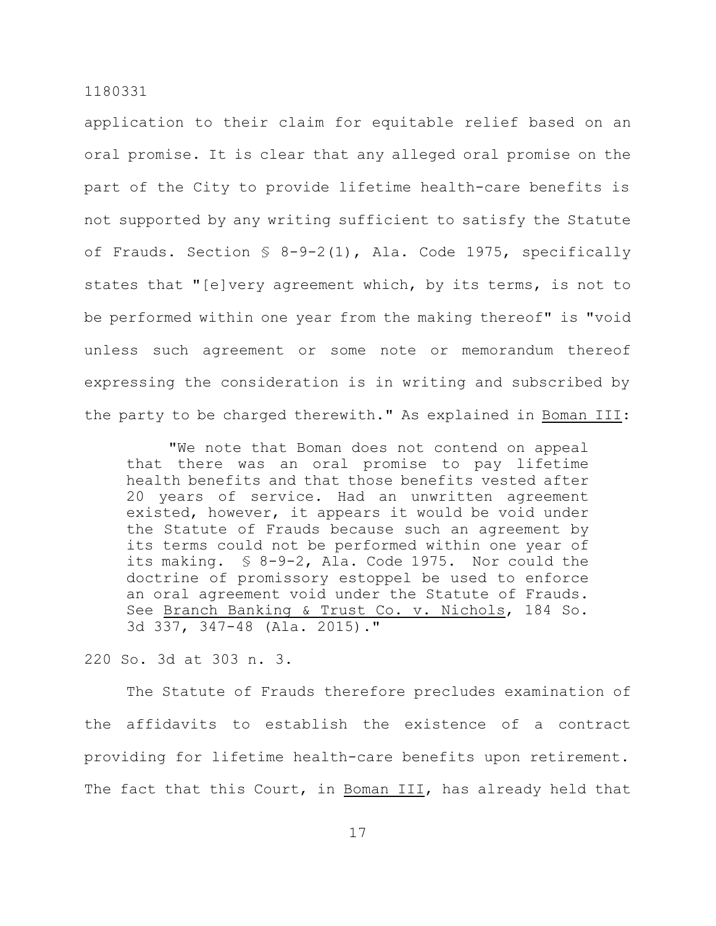application to their claim for equitable relief based on an oral promise. It is clear that any alleged oral promise on the part of the City to provide lifetime health-care benefits is not supported by any writing sufficient to satisfy the Statute of Frauds. Section § 8-9-2(1), Ala. Code 1975, specifically states that "[e]very agreement which, by its terms, is not to be performed within one year from the making thereof" is "void unless such agreement or some note or memorandum thereof expressing the consideration is in writing and subscribed by the party to be charged therewith." As explained in Boman III:

"We note that Boman does not contend on appeal that there was an oral promise to pay lifetime health benefits and that those benefits vested after 20 years of service. Had an unwritten agreement existed, however, it appears it would be void under the Statute of Frauds because such an agreement by its terms could not be performed within one year of its making. § 8-9-2, Ala. Code 1975. Nor could the doctrine of promissory estoppel be used to enforce an oral agreement void under the Statute of Frauds. See Branch Banking & Trust Co. v. Nichols, 184 So. 3d 337, 347-48 (Ala. 2015)."

220 So. 3d at 303 n. 3.

The Statute of Frauds therefore precludes examination of the affidavits to establish the existence of a contract providing for lifetime health-care benefits upon retirement. The fact that this Court, in Boman III, has already held that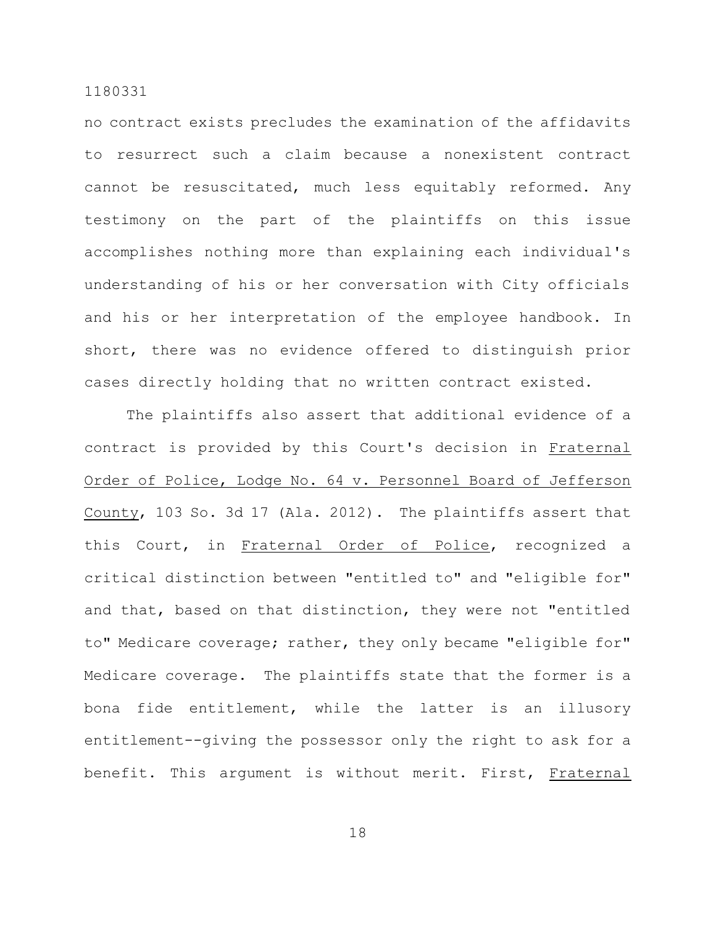no contract exists precludes the examination of the affidavits to resurrect such a claim because a nonexistent contract cannot be resuscitated, much less equitably reformed. Any testimony on the part of the plaintiffs on this issue accomplishes nothing more than explaining each individual's understanding of his or her conversation with City officials and his or her interpretation of the employee handbook. In short, there was no evidence offered to distinguish prior cases directly holding that no written contract existed.

The plaintiffs also assert that additional evidence of a contract is provided by this Court's decision in Fraternal Order of Police, Lodge No. 64 v. Personnel Board of Jefferson County, 103 So. 3d 17 (Ala. 2012). The plaintiffs assert that this Court, in Fraternal Order of Police, recognized a critical distinction between "entitled to" and "eligible for" and that, based on that distinction, they were not "entitled to" Medicare coverage; rather, they only became "eligible for" Medicare coverage. The plaintiffs state that the former is a bona fide entitlement, while the latter is an illusory entitlement--giving the possessor only the right to ask for a benefit. This argument is without merit. First, Fraternal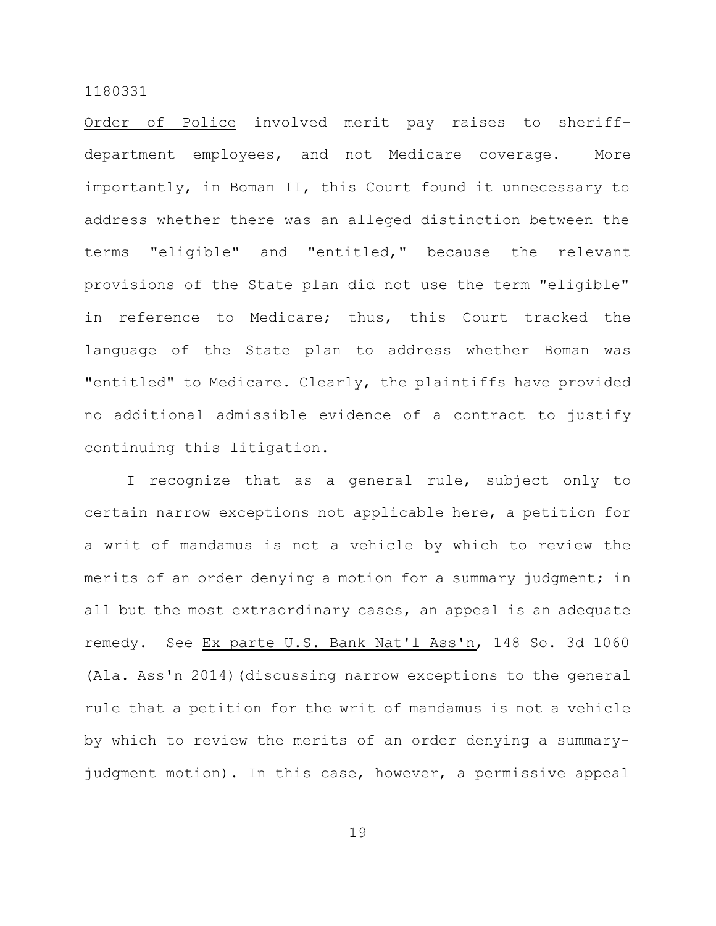Order of Police involved merit pay raises to sheriffdepartment employees, and not Medicare coverage. More importantly, in Boman II, this Court found it unnecessary to address whether there was an alleged distinction between the terms "eligible" and "entitled," because the relevant provisions of the State plan did not use the term "eligible" in reference to Medicare; thus, this Court tracked the language of the State plan to address whether Boman was "entitled" to Medicare. Clearly, the plaintiffs have provided no additional admissible evidence of a contract to justify continuing this litigation.

I recognize that as a general rule, subject only to certain narrow exceptions not applicable here, a petition for a writ of mandamus is not a vehicle by which to review the merits of an order denying a motion for a summary judgment; in all but the most extraordinary cases, an appeal is an adequate remedy. See Ex parte U.S. Bank Nat'l Ass'n, 148 So. 3d 1060 (Ala. Ass'n 2014) (discussing narrow exceptions to the general rule that a petition for the writ of mandamus is not a vehicle by which to review the merits of an order denying a summaryjudgment motion). In this case, however, a permissive appeal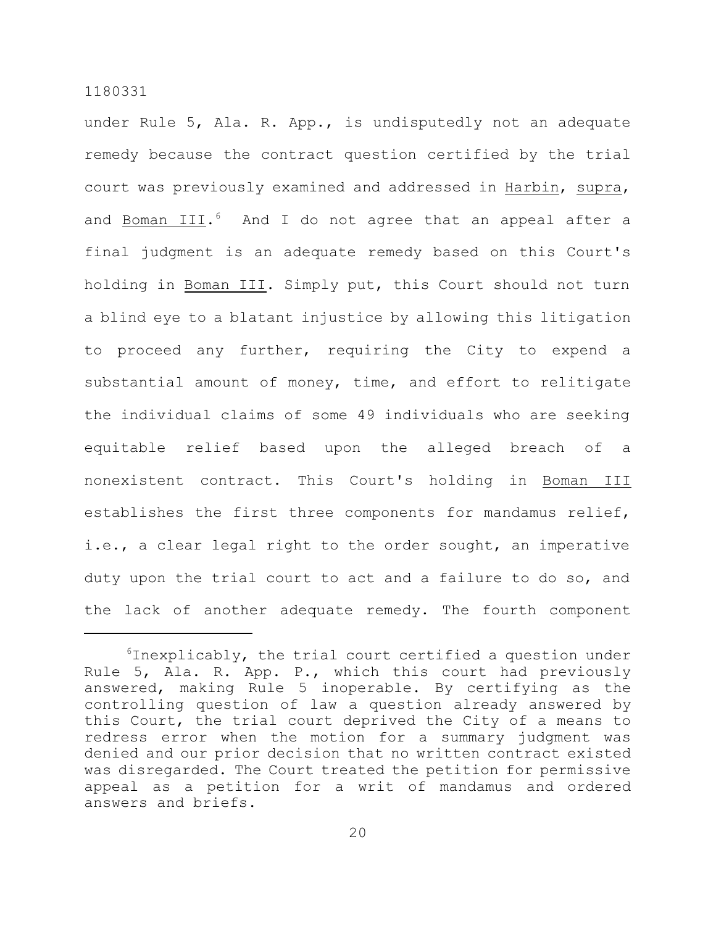under Rule 5, Ala. R. App., is undisputedly not an adequate remedy because the contract question certified by the trial court was previously examined and addressed in Harbin, supra, and Boman III.<sup>6</sup> And I do not agree that an appeal after a final judgment is an adequate remedy based on this Court's holding in Boman III. Simply put, this Court should not turn a blind eye to a blatant injustice by allowing this litigation to proceed any further, requiring the City to expend a substantial amount of money, time, and effort to relitigate the individual claims of some 49 individuals who are seeking equitable relief based upon the alleged breach of a nonexistent contract. This Court's holding in Boman III establishes the first three components for mandamus relief, i.e., a clear legal right to the order sought, an imperative duty upon the trial court to act and a failure to do so, and the lack of another adequate remedy. The fourth component

 $6$ Inexplicably, the trial court certified a question under Rule 5, Ala. R. App. P., which this court had previously answered, making Rule 5 inoperable. By certifying as the controlling question of law a question already answered by this Court, the trial court deprived the City of a means to redress error when the motion for a summary judgment was denied and our prior decision that no written contract existed was disregarded. The Court treated the petition for permissive appeal as a petition for a writ of mandamus and ordered answers and briefs.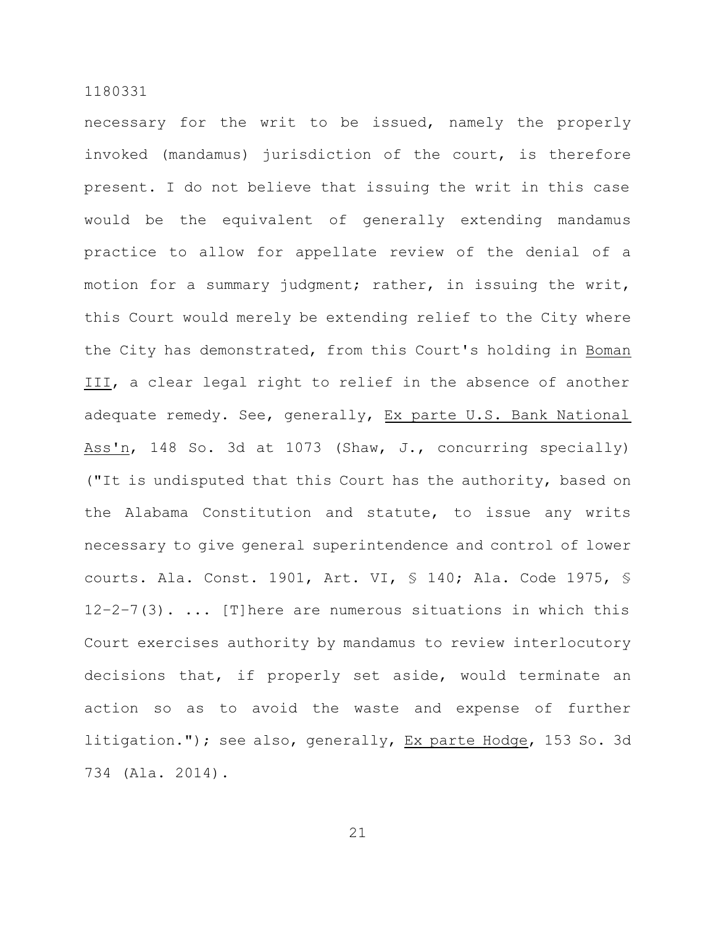necessary for the writ to be issued, namely the properly invoked (mandamus) jurisdiction of the court, is therefore present. I do not believe that issuing the writ in this case would be the equivalent of generally extending mandamus practice to allow for appellate review of the denial of a motion for a summary judgment; rather, in issuing the writ, this Court would merely be extending relief to the City where the City has demonstrated, from this Court's holding in Boman III, a clear legal right to relief in the absence of another adequate remedy. See, generally, Ex parte U.S. Bank National Ass'n, 148 So. 3d at 1073 (Shaw, J., concurring specially) ("It is undisputed that this Court has the authority, based on the Alabama Constitution and statute, to issue any writs necessary to give general superintendence and control of lower courts. Ala. Const. 1901, Art. VI, § 140; Ala. Code 1975, §  $12-2-7(3)$ . ... [T] here are numerous situations in which this Court exercises authority by mandamus to review interlocutory decisions that, if properly set aside, would terminate an action so as to avoid the waste and expense of further litigation."); see also, generally, Ex parte Hodge, 153 So. 3d 734 (Ala. 2014).